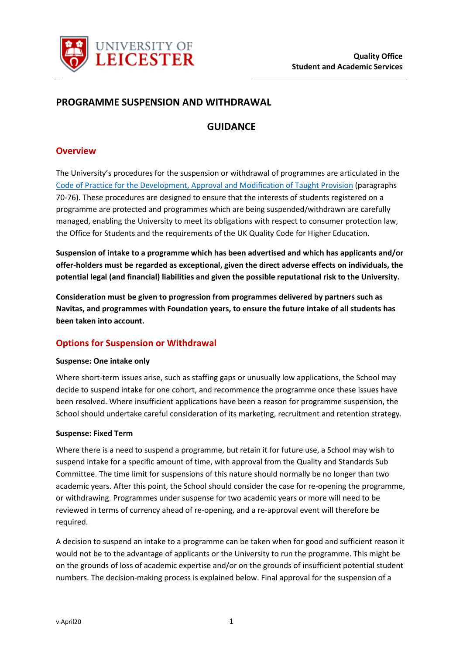

# **PROGRAMME SUSPENSION AND WITHDRAWAL**

# **GUIDANCE**

#### **Overview**

The University's procedures for the suspension or withdrawal of programmes are articulated in the [Code of Practice for the Development, Approval and Modification of Taught Provision](https://www2.le.ac.uk/offices/sas2/quality/codes/documents/programmeapproval.pdf) (paragraphs 70-76). These procedures are designed to ensure that the interests of students registered on a programme are protected and programmes which are being suspended/withdrawn are carefully managed, enabling the University to meet its obligations with respect to consumer protection law, the Office for Students and the requirements of the UK Quality Code for Higher Education.

**Suspension of intake to a programme which has been advertised and which has applicants and/or offer-holders must be regarded as exceptional, given the direct adverse effects on individuals, the potential legal (and financial) liabilities and given the possible reputational risk to the University.**

**Consideration must be given to progression from programmes delivered by partners such as Navitas, and programmes with Foundation years, to ensure the future intake of all students has been taken into account.**

### **Options for Suspension or Withdrawal**

#### **Suspense: One intake only**

Where short-term issues arise, such as staffing gaps or unusually low applications, the School may decide to suspend intake for one cohort, and recommence the programme once these issues have been resolved. Where insufficient applications have been a reason for programme suspension, the School should undertake careful consideration of its marketing, recruitment and retention strategy.

#### **Suspense: Fixed Term**

Where there is a need to suspend a programme, but retain it for future use, a School may wish to suspend intake for a specific amount of time, with approval from the Quality and Standards Sub Committee. The time limit for suspensions of this nature should normally be no longer than two academic years. After this point, the School should consider the case for re-opening the programme, or withdrawing. Programmes under suspense for two academic years or more will need to be reviewed in terms of currency ahead of re-opening, and a re-approval event will therefore be required.

A decision to suspend an intake to a programme can be taken when for good and sufficient reason it would not be to the advantage of applicants or the University to run the programme. This might be on the grounds of loss of academic expertise and/or on the grounds of insufficient potential student numbers. The decision-making process is explained below. Final approval for the suspension of a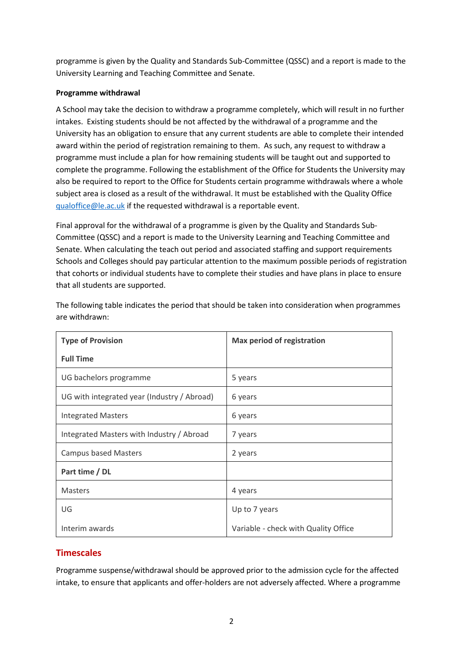programme is given by the Quality and Standards Sub-Committee (QSSC) and a report is made to the University Learning and Teaching Committee and Senate.

#### **Programme withdrawal**

A School may take the decision to withdraw a programme completely, which will result in no further intakes. Existing students should be not affected by the withdrawal of a programme and the University has an obligation to ensure that any current students are able to complete their intended award within the period of registration remaining to them. As such, any request to withdraw a programme must include a plan for how remaining students will be taught out and supported to complete the programme. Following the establishment of the Office for Students the University may also be required to report to the Office for Students certain programme withdrawals where a whole subject area is closed as a result of the withdrawal. It must be established with the Quality Office [qualoffice@le.ac.uk](mailto:qualoffice@le.ac.uk) if the requested withdrawal is a reportable event.

Final approval for the withdrawal of a programme is given by the Quality and Standards Sub-Committee (QSSC) and a report is made to the University Learning and Teaching Committee and Senate. When calculating the teach out period and associated staffing and support requirements Schools and Colleges should pay particular attention to the maximum possible periods of registration that cohorts or individual students have to complete their studies and have plans in place to ensure that all students are supported.

| <b>Type of Provision</b>                    | <b>Max period of registration</b>    |  |  |  |  |
|---------------------------------------------|--------------------------------------|--|--|--|--|
| <b>Full Time</b>                            |                                      |  |  |  |  |
| UG bachelors programme                      | 5 years                              |  |  |  |  |
| UG with integrated year (Industry / Abroad) | 6 years                              |  |  |  |  |
| <b>Integrated Masters</b>                   | 6 years                              |  |  |  |  |
| Integrated Masters with Industry / Abroad   | 7 years                              |  |  |  |  |
| <b>Campus based Masters</b>                 | 2 years                              |  |  |  |  |
| Part time / DL                              |                                      |  |  |  |  |
| <b>Masters</b>                              | 4 years                              |  |  |  |  |
| UG                                          | Up to 7 years                        |  |  |  |  |
| Interim awards                              | Variable - check with Quality Office |  |  |  |  |

The following table indicates the period that should be taken into consideration when programmes are withdrawn:

# **Timescales**

Programme suspense/withdrawal should be approved prior to the admission cycle for the affected intake, to ensure that applicants and offer-holders are not adversely affected. Where a programme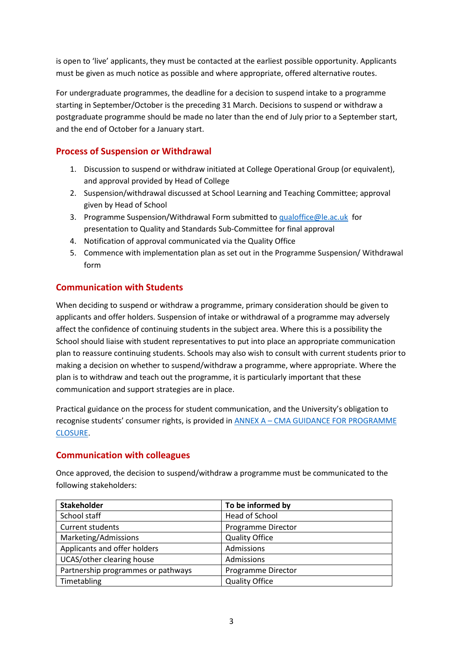is open to 'live' applicants, they must be contacted at the earliest possible opportunity. Applicants must be given as much notice as possible and where appropriate, offered alternative routes.

For undergraduate programmes, the deadline for a decision to suspend intake to a programme starting in September/October is the preceding 31 March. Decisions to suspend or withdraw a postgraduate programme should be made no later than the end of July prior to a September start, and the end of October for a January start.

# **Process of Suspension or Withdrawal**

- 1. Discussion to suspend or withdraw initiated at College Operational Group (or equivalent), and approval provided by Head of College
- 2. Suspension/withdrawal discussed at School Learning and Teaching Committee; approval given by Head of School
- 3. Programme Suspension/Withdrawal Form submitted to [qualoffice@le.ac.uk](mailto:qualoffice@le.ac.uk) for presentation to Quality and Standards Sub-Committee for final approval
- 4. Notification of approval communicated via the Quality Office
- 5. Commence with implementation plan as set out in the Programme Suspension/ Withdrawal form

# **Communication with Students**

When deciding to suspend or withdraw a programme, primary consideration should be given to applicants and offer holders. Suspension of intake or withdrawal of a programme may adversely affect the confidence of continuing students in the subject area. Where this is a possibility the School should liaise with student representatives to put into place an appropriate communication plan to reassure continuing students. Schools may also wish to consult with current students prior to making a decision on whether to suspend/withdraw a programme, where appropriate. Where the plan is to withdraw and teach out the programme, it is particularly important that these communication and support strategies are in place.

Practical guidance on the process for student communication, and the University's obligation to recognise students' consumer rights, is provided in ANNEX A – [CMA GUIDANCE FOR PROGRAMME](#page-5-0)  [CLOSURE.](#page-5-0)

### **Communication with colleagues**

Once approved, the decision to suspend/withdraw a programme must be communicated to the following stakeholders:

| <b>Stakeholder</b>                 | To be informed by     |
|------------------------------------|-----------------------|
| School staff                       | Head of School        |
| Current students                   | Programme Director    |
| Marketing/Admissions               | <b>Quality Office</b> |
| Applicants and offer holders       | Admissions            |
| UCAS/other clearing house          | Admissions            |
| Partnership programmes or pathways | Programme Director    |
| Timetabling                        | <b>Quality Office</b> |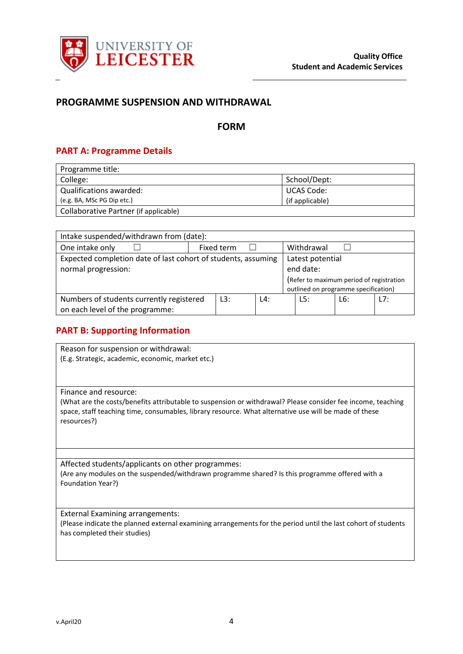

### **PROGRAMME SUSPENSION AND WITHDRAWAL**

#### **FORM**

#### **PART A: Programme Details**

| Programme title:                      |                 |
|---------------------------------------|-----------------|
| College:                              | School/Dept:    |
| Qualifications awarded:               | UCAS Code:      |
| (e.g. BA, MSc PG Dip etc.)            | (if applicable) |
| Collaborative Partner (if applicable) |                 |

| Intake suspended/withdrawn from (date):                       |  |            |                                          |                                      |            |     |     |
|---------------------------------------------------------------|--|------------|------------------------------------------|--------------------------------------|------------|-----|-----|
| One intake only                                               |  | Fixed term |                                          |                                      | Withdrawal |     |     |
| Expected completion date of last cohort of students, assuming |  |            | Latest potential                         |                                      |            |     |     |
| normal progression:                                           |  |            | end date:                                |                                      |            |     |     |
|                                                               |  |            | (Refer to maximum period of registration |                                      |            |     |     |
|                                                               |  |            |                                          | outlined on programme specification) |            |     |     |
| Numbers of students currently registered                      |  | L3:        | L4:                                      |                                      | L5:        | L6: | 17: |
| on each level of the programme:                               |  |            |                                          |                                      |            |     |     |

#### **PART B: Supporting Information**

Reason for suspension or withdrawal: (E.g. Strategic, academic, economic, market etc.)

Finance and resource:

(What are the costs/benefits attributable to suspension or withdrawal? Please consider fee income, teaching space, staff teaching time, consumables, library resource. What alternative use will be made of these resources?)

Affected students/applicants on other programmes: (Are any modules on the suspended/withdrawn programme shared? Is this programme offered with a Foundation Year?)

External Examining arrangements: (Please indicate the planned external examining arrangements for the period until the last cohort of students has completed their studies)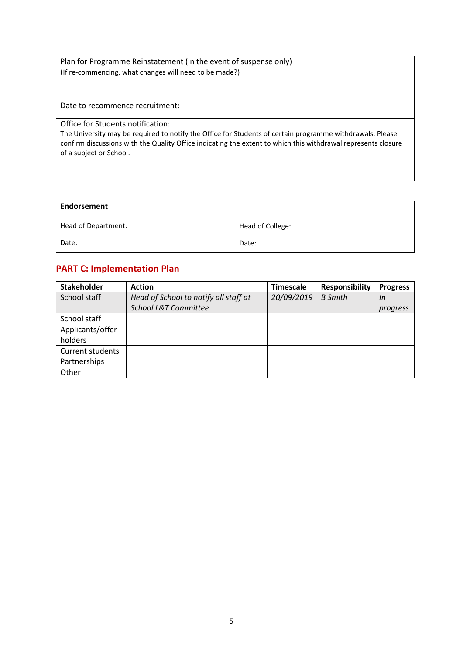Plan for Programme Reinstatement (in the event of suspense only) (If re-commencing, what changes will need to be made?)

Date to recommence recruitment:

Office for Students notification:

The University may be required to notify the Office for Students of certain programme withdrawals. Please confirm discussions with the Quality Office indicating the extent to which this withdrawal represents closure of a subject or School.

| Endorsement         |                  |
|---------------------|------------------|
| Head of Department: | Head of College: |
| Date:               | Date:            |

# **PART C: Implementation Plan**

| <b>Stakeholder</b> | <b>Action</b>                         | <b>Timescale</b> | <b>Responsibility</b> | <b>Progress</b> |
|--------------------|---------------------------------------|------------------|-----------------------|-----------------|
| School staff       | Head of School to notify all staff at | 20/09/2019       | <b>B</b> Smith        | In              |
|                    | School L&T Committee                  |                  |                       | progress        |
| School staff       |                                       |                  |                       |                 |
| Applicants/offer   |                                       |                  |                       |                 |
| holders            |                                       |                  |                       |                 |
| Current students   |                                       |                  |                       |                 |
| Partnerships       |                                       |                  |                       |                 |
| Other              |                                       |                  |                       |                 |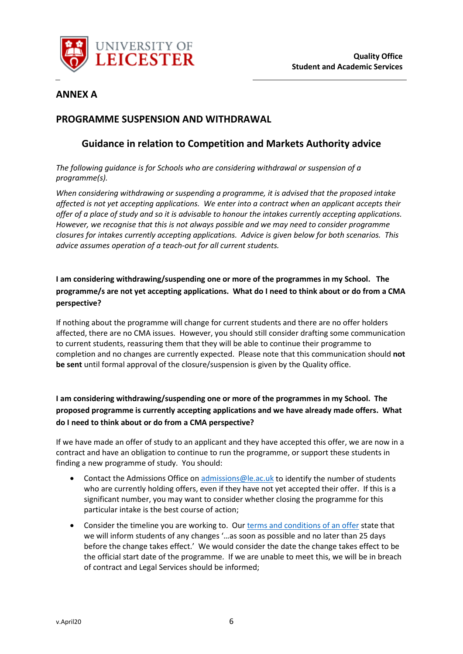

# **ANNEX A**

# <span id="page-5-0"></span>**PROGRAMME SUSPENSION AND WITHDRAWAL**

# **Guidance in relation to Competition and Markets Authority advice**

*The following guidance is for Schools who are considering withdrawal or suspension of a programme(s).* 

*When considering withdrawing or suspending a programme, it is advised that the proposed intake affected is not yet accepting applications. We enter into a contract when an applicant accepts their offer of a place of study and so it is advisable to honour the intakes currently accepting applications. However, we recognise that this is not always possible and we may need to consider programme closures for intakes currently accepting applications. Advice is given below for both scenarios. This advice assumes operation of a teach-out for all current students.*

# **I am considering withdrawing/suspending one or more of the programmes in my School. The programme/s are not yet accepting applications. What do I need to think about or do from a CMA perspective?**

If nothing about the programme will change for current students and there are no offer holders affected, there are no CMA issues. However, you should still consider drafting some communication to current students, reassuring them that they will be able to continue their programme to completion and no changes are currently expected. Please note that this communication should **not be sent** until formal approval of the closure/suspension is given by the Quality office.

**I am considering withdrawing/suspending one or more of the programmes in my School. The proposed programme is currently accepting applications and we have already made offers. What do I need to think about or do from a CMA perspective?**

If we have made an offer of study to an applicant and they have accepted this offer, we are now in a contract and have an obligation to continue to run the programme, or support these students in finding a new programme of study. You should:

- Contact the Admissions Office on [admissions@le.ac.uk](mailto:admissions@le.ac.uk) to identify the number of students who are currently holding offers, even if they have not yet accepted their offer. If this is a significant number, you may want to consider whether closing the programme for this particular intake is the best course of action;
- Consider the timeline you are working to. Ou[r terms and conditions of an offer](https://le.ac.uk/study/undergraduates/how-to-apply/tcs) state that we will inform students of any changes '…as soon as possible and no later than 25 days before the change takes effect.' We would consider the date the change takes effect to be the official start date of the programme. If we are unable to meet this, we will be in breach of contract and Legal Services should be informed;